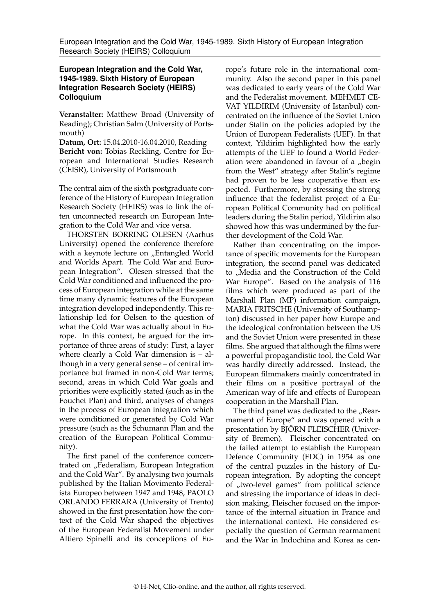## **European Integration and the Cold War, 1945-1989. Sixth History of European Integration Research Society (HEIRS) Colloquium**

**Veranstalter:** Matthew Broad (University of Reading); Christian Salm (University of Portsmouth)

**Datum, Ort:** 15.04.2010-16.04.2010, Reading **Bericht von:** Tobias Reckling, Centre for European and International Studies Research (CEISR), University of Portsmouth

The central aim of the sixth postgraduate conference of the History of European Integration Research Society (HEIRS) was to link the often unconnected research on European Integration to the Cold War and vice versa.

THORSTEN BORRING OLESEN (Aarhus University) opened the conference therefore with a keynote lecture on "Entangled World and Worlds Apart. The Cold War and European Integration". Olesen stressed that the Cold War conditioned and influenced the process of European integration while at the same time many dynamic features of the European integration developed independently. This relationship led for Oelsen to the question of what the Cold War was actually about in Europe. In this context, he argued for the importance of three areas of study: First, a layer where clearly a Cold War dimension is – although in a very general sense – of central importance but framed in non-Cold War terms; second, areas in which Cold War goals and priorities were explicitly stated (such as in the Fouchet Plan) and third, analyses of changes in the process of European integration which were conditioned or generated by Cold War pressure (such as the Schumann Plan and the creation of the European Political Community).

The first panel of the conference concentrated on "Federalism, European Integration and the Cold War". By analysing two journals published by the Italian Movimento Federalista Europeo between 1947 and 1948, PAOLO ORLANDO FERRARA (University of Trento) showed in the first presentation how the context of the Cold War shaped the objectives of the European Federalist Movement under Altiero Spinelli and its conceptions of Europe's future role in the international community. Also the second paper in this panel was dedicated to early years of the Cold War and the Federalist movement. MEHMET CE-VAT YILDIRIM (University of Istanbul) concentrated on the influence of the Soviet Union under Stalin on the policies adopted by the Union of European Federalists (UEF). In that context, Yildirim highlighted how the early attempts of the UEF to found a World Federation were abandoned in favour of a "begin from the West" strategy after Stalin's regime had proven to be less cooperative than expected. Furthermore, by stressing the strong influence that the federalist project of a European Political Community had on political leaders during the Stalin period, Yildirim also showed how this was undermined by the further development of the Cold War.

Rather than concentrating on the importance of specific movements for the European integration, the second panel was dedicated to "Media and the Construction of the Cold War Europe". Based on the analysis of 116 films which were produced as part of the Marshall Plan (MP) information campaign, MARIA FRITSCHE (University of Southampton) discussed in her paper how Europe and the ideological confrontation between the US and the Soviet Union were presented in these films. She argued that although the films were a powerful propagandistic tool, the Cold War was hardly directly addressed. Instead, the European filmmakers mainly concentrated in their films on a positive portrayal of the American way of life and effects of European cooperation in the Marshall Plan.

The third panel was dedicated to the "Rearmament of Europe" and was opened with a presentation by BJÖRN FLEISCHER (University of Bremen). Fleischer concentrated on the failed attempt to establish the European Defence Community (EDC) in 1954 as one of the central puzzles in the history of European integration. By adopting the concept of "two-level games" from political science and stressing the importance of ideas in decision making, Fleischer focused on the importance of the internal situation in France and the international context. He considered especially the question of German rearmament and the War in Indochina and Korea as cen-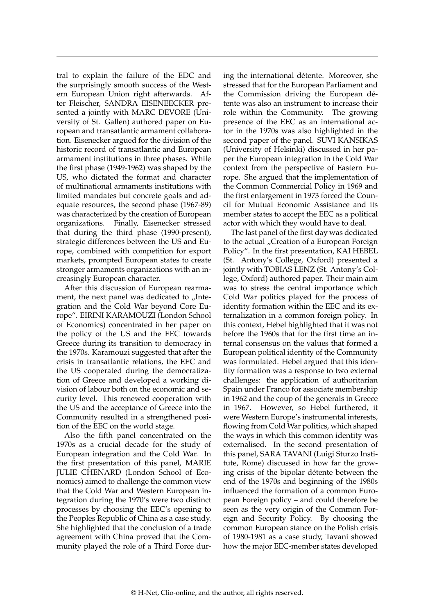tral to explain the failure of the EDC and the surprisingly smooth success of the Western European Union right afterwards. After Fleischer, SANDRA EISENEECKER presented a jointly with MARC DEVORE (University of St. Gallen) authored paper on European and transatlantic armament collaboration. Eisenecker argued for the division of the historic record of transatlantic and European armament institutions in three phases. While the first phase (1949-1962) was shaped by the US, who dictated the format and character of multinational armaments institutions with limited mandates but concrete goals and adequate resources, the second phase (1967-89) was characterized by the creation of European organizations. Finally, Eisenecker stressed that during the third phase (1990-present), strategic differences between the US and Europe, combined with competition for export markets, prompted European states to create stronger armaments organizations with an increasingly European character.

After this discussion of European rearmament, the next panel was dedicated to "Integration and the Cold War beyond Core Europe". EIRINI KARAMOUZI (London School of Economics) concentrated in her paper on the policy of the US and the EEC towards Greece during its transition to democracy in the 1970s. Karamouzi suggested that after the crisis in transatlantic relations, the EEC and the US cooperated during the democratization of Greece and developed a working division of labour both on the economic and security level. This renewed cooperation with the US and the acceptance of Greece into the Community resulted in a strengthened position of the EEC on the world stage.

Also the fifth panel concentrated on the 1970s as a crucial decade for the study of European integration and the Cold War. In the first presentation of this panel, MARIE JULIE CHENARD (London School of Economics) aimed to challenge the common view that the Cold War and Western European integration during the 1970's were two distinct processes by choosing the EEC's opening to the Peoples Republic of China as a case study. She highlighted that the conclusion of a trade agreement with China proved that the Community played the role of a Third Force during the international détente. Moreover, she stressed that for the European Parliament and the Commission driving the European détente was also an instrument to increase their role within the Community. The growing presence of the EEC as an international actor in the 1970s was also highlighted in the second paper of the panel. SUVI KANSIKAS (University of Helsinki) discussed in her paper the European integration in the Cold War context from the perspective of Eastern Europe. She argued that the implementation of the Common Commercial Policy in 1969 and the first enlargement in 1973 forced the Council for Mutual Economic Assistance and its member states to accept the EEC as a political actor with which they would have to deal.

The last panel of the first day was dedicated to the actual "Creation of a European Foreign Policy". In the first presentation, KAI HEBEL (St. Antony's College, Oxford) presented a jointly with TOBIAS LENZ (St. Antony's College, Oxford) authored paper. Their main aim was to stress the central importance which Cold War politics played for the process of identity formation within the EEC and its externalization in a common foreign policy. In this context, Hebel highlighted that it was not before the 1960s that for the first time an internal consensus on the values that formed a European political identity of the Community was formulated. Hebel argued that this identity formation was a response to two external challenges: the application of authoritarian Spain under Franco for associate membership in 1962 and the coup of the generals in Greece in 1967. However, so Hebel furthered, it were Western Europe's instrumental interests, flowing from Cold War politics, which shaped the ways in which this common identity was externalised. In the second presentation of this panel, SARA TAVANI (Luigi Sturzo Institute, Rome) discussed in how far the growing crisis of the bipolar détente between the end of the 1970s and beginning of the 1980s influenced the formation of a common European Foreign policy – and could therefore be seen as the very origin of the Common Foreign and Security Policy. By choosing the common European stance on the Polish crisis of 1980-1981 as a case study, Tavani showed how the major EEC-member states developed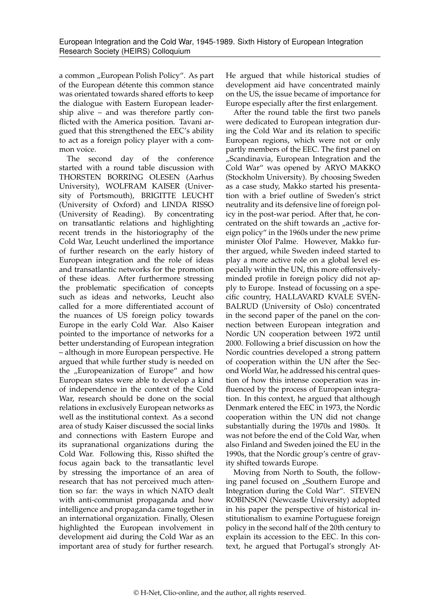a common "European Polish Policy". As part of the European détente this common stance was orientated towards shared efforts to keep the dialogue with Eastern European leadership alive – and was therefore partly conflicted with the America position. Tavani argued that this strengthened the EEC's ability to act as a foreign policy player with a common voice.

The second day of the conference started with a round table discussion with THORSTEN BORRING OLESEN (Aarhus University), WOLFRAM KAISER (University of Portsmouth), BRIGITTE LEUCHT (University of Oxford) and LINDA RISSO (University of Reading). By concentrating on transatlantic relations and highlighting recent trends in the historiography of the Cold War, Leucht underlined the importance of further research on the early history of European integration and the role of ideas and transatlantic networks for the promotion of these ideas. After furthermore stressing the problematic specification of concepts such as ideas and networks, Leucht also called for a more differentiated account of the nuances of US foreign policy towards Europe in the early Cold War. Also Kaiser pointed to the importance of networks for a better understanding of European integration – although in more European perspective. He argued that while further study is needed on the "Europeanization of Europe" and how European states were able to develop a kind of independence in the context of the Cold War, research should be done on the social relations in exclusively European networks as well as the institutional context. As a second area of study Kaiser discussed the social links and connections with Eastern Europe and its supranational organizations during the Cold War. Following this, Risso shifted the focus again back to the transatlantic level by stressing the importance of an area of research that has not perceived much attention so far: the ways in which NATO dealt with anti-communist propaganda and how intelligence and propaganda came together in an international organization. Finally, Olesen highlighted the European involvement in development aid during the Cold War as an important area of study for further research.

He argued that while historical studies of development aid have concentrated mainly on the US, the issue became of importance for Europe especially after the first enlargement.

After the round table the first two panels were dedicated to European integration during the Cold War and its relation to specific European regions, which were not or only partly members of the EEC. The first panel on "Scandinavia, European Integration and the Cold War" was opened by ARYO MAKKO (Stockholm University). By choosing Sweden as a case study, Makko started his presentation with a brief outline of Sweden's strict neutrality and its defensive line of foreign policy in the post-war period. After that, he concentrated on the shift towards an "active foreign policy" in the 1960s under the new prime minister Olof Palme. However, Makko further argued, while Sweden indeed started to play a more active role on a global level especially within the UN, this more offensivelyminded profile in foreign policy did not apply to Europe. Instead of focussing on a specific country, HALLAVARD KVALE SVEN-BALRUD (University of Oslo) concentrated in the second paper of the panel on the connection between European integration and Nordic UN cooperation between 1972 until 2000. Following a brief discussion on how the Nordic countries developed a strong pattern of cooperation within the UN after the Second World War, he addressed his central question of how this intense cooperation was influenced by the process of European integration. In this context, he argued that although Denmark entered the EEC in 1973, the Nordic cooperation within the UN did not change substantially during the 1970s and 1980s. It was not before the end of the Cold War, when also Finland and Sweden joined the EU in the 1990s, that the Nordic group's centre of gravity shifted towards Europe.

Moving from North to South, the following panel focused on "Southern Europe and Integration during the Cold War". STEVEN ROBINSON (Newcastle University) adopted in his paper the perspective of historical institutionalism to examine Portuguese foreign policy in the second half of the 20th century to explain its accession to the EEC. In this context, he argued that Portugal's strongly At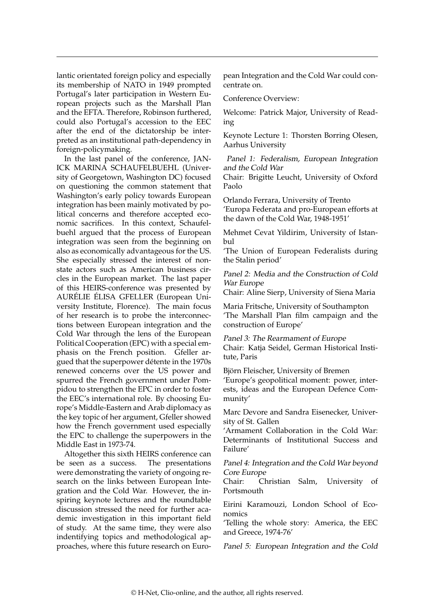lantic orientated foreign policy and especially its membership of NATO in 1949 prompted Portugal's later participation in Western European projects such as the Marshall Plan and the EFTA. Therefore, Robinson furthered, could also Portugal's accession to the EEC after the end of the dictatorship be interpreted as an institutional path-dependency in foreign-policymaking.

In the last panel of the conference, JAN-ICK MARINA SCHAUFELBUEHL (University of Georgetown, Washington DC) focused on questioning the common statement that Washington's early policy towards European integration has been mainly motivated by political concerns and therefore accepted economic sacrifices. In this context, Schaufelbuehl argued that the process of European integration was seen from the beginning on also as economically advantageous for the US. She especially stressed the interest of nonstate actors such as American business circles in the European market. The last paper of this HEIRS-conference was presented by AURÉLIE ÉLISA GFELLER (European University Institute, Florence). The main focus of her research is to probe the interconnections between European integration and the Cold War through the lens of the European Political Cooperation (EPC) with a special emphasis on the French position. Gfeller argued that the superpower détente in the 1970s renewed concerns over the US power and spurred the French government under Pompidou to strengthen the EPC in order to foster the EEC's international role. By choosing Europe's Middle-Eastern and Arab diplomacy as the key topic of her argument, Gfeller showed how the French government used especially the EPC to challenge the superpowers in the Middle East in 1973-74.

Altogether this sixth HEIRS conference can be seen as a success. The presentations were demonstrating the variety of ongoing research on the links between European Integration and the Cold War. However, the inspiring keynote lectures and the roundtable discussion stressed the need for further academic investigation in this important field of study. At the same time, they were also indentifying topics and methodological approaches, where this future research on European Integration and the Cold War could concentrate on.

Conference Overview:

Welcome: Patrick Major, University of Reading

Keynote Lecture 1: Thorsten Borring Olesen, Aarhus University

Panel 1: Federalism, European Integration and the Cold War

Chair: Brigitte Leucht, University of Oxford Paolo

Orlando Ferrara, University of Trento 'Europa Federata and pro-European efforts at the dawn of the Cold War, 1948-1951'

Mehmet Cevat Yildirim, University of Istanbul

'The Union of European Federalists during the Stalin period'

Panel 2: Media and the Construction of Cold War Europe

Chair: Aline Sierp, University of Siena Maria

Maria Fritsche, University of Southampton 'The Marshall Plan film campaign and the construction of Europe'

Panel 3: The Rearmament of Europe Chair: Katja Seidel, German Historical Institute, Paris

Björn Fleischer, University of Bremen

'Europe's geopolitical moment: power, interests, ideas and the European Defence Community'

Marc Devore and Sandra Eisenecker, University of St. Gallen

'Armament Collaboration in the Cold War: Determinants of Institutional Success and Failure'

Panel 4: Integration and the Cold War beyond Core Europe<br>Chair: Ch

Christian Salm, University of Portsmouth

Eirini Karamouzi, London School of Economics

'Telling the whole story: America, the EEC and Greece, 1974-76'

Panel 5: European Integration and the Cold